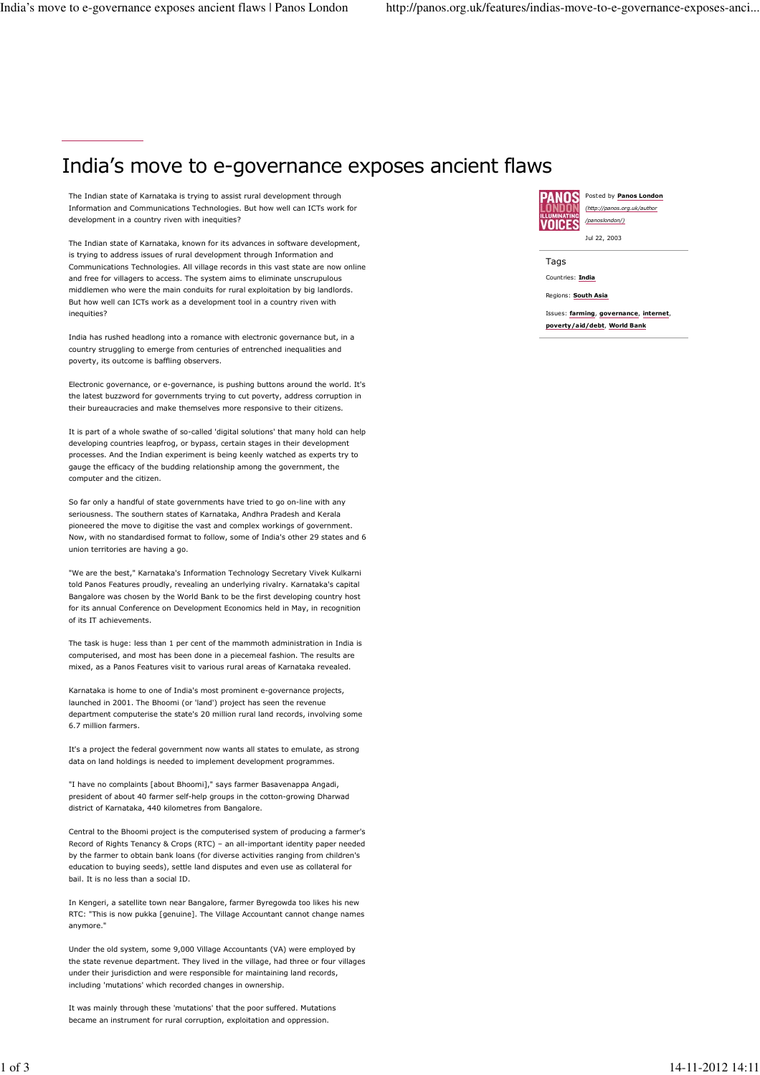## India's move to e-governance exposes ancient flaws

The Indian state of Karnataka is trying to assist rural development through Information and Communications Technologies. But how well can ICTs work for development in a country riven with inequities?

The Indian state of Karnataka, known for its advances in software development, is trying to address issues of rural development through Information and Communications Technologies. All village records in this vast state are now online and free for villagers to access. The system aims to eliminate unscrupulous middlemen who were the main conduits for rural exploitation by big landlords. But how well can ICTs work as a development tool in a country riven with inequities?

India has rushed headlong into a romance with electronic governance but, in a country struggling to emerge from centuries of entrenched inequalities and poverty, its outcome is baffling observers.

Electronic governance, or e-governance, is pushing buttons around the world. It's the latest buzzword for governments trying to cut poverty, address corruption in their bureaucracies and make themselves more responsive to their citizens.

It is part of a whole swathe of so-called 'digital solutions' that many hold can help developing countries leapfrog, or bypass, certain stages in their development processes. And the Indian experiment is being keenly watched as experts try to gauge the efficacy of the budding relationship among the government, the computer and the citizen.

So far only a handful of state governments have tried to go on-line with any seriousness. The southern states of Karnataka, Andhra Pradesh and Kerala pioneered the move to digitise the vast and complex workings of government. Now, with no standardised format to follow, some of India's other 29 states and 6 union territories are having a go.

"We are the best," Karnataka's Information Technology Secretary Vivek Kulkarni told Panos Features proudly, revealing an underlying rivalry. Karnataka's capital Bangalore was chosen by the World Bank to be the first developing country host for its annual Conference on Development Economics held in May, in recognition of its IT achievements.

The task is huge: less than 1 per cent of the mammoth administration in India is computerised, and most has been done in a piecemeal fashion. The results are mixed, as a Panos Features visit to various rural areas of Karnataka revealed.

Karnataka is home to one of India's most prominent e-governance projects, launched in 2001. The Bhoomi (or 'land') project has seen the revenue department computerise the state's 20 million rural land records, involving some 6.7 million farmers.

It's a project the federal government now wants all states to emulate, as strong data on land holdings is needed to implement development programmes.

"I have no complaints [about Bhoomi]," says farmer Basavenappa Angadi, president of about 40 farmer self-help groups in the cotton-growing Dharwad district of Karnataka, 440 kilometres from Bangalore.

Central to the Bhoomi project is the computerised system of producing a farmer's Record of Rights Tenancy & Crops (RTC) – an all-important identity paper needed by the farmer to obtain bank loans (for diverse activities ranging from children's education to buying seeds), settle land disputes and even use as collateral for bail. It is no less than a social ID.

In Kengeri, a satellite town near Bangalore, farmer Byregowda too likes his new RTC: "This is now pukka [genuine]. The Village Accountant cannot change names anymore."

Under the old system, some 9,000 Village Accountants (VA) were employed by the state revenue department. They lived in the village, had three or four villages under their jurisdiction and were responsible for maintaining land records, including 'mutations' which recorded changes in ownership.

It was mainly through these 'mutations' that the poor suffered. Mutations became an instrument for rural corruption, exploitation and oppression.



Posted by Panos London (http://panos.org.uk/author /panoslondon/)

Jul 22, 2003

**Tags** Countries: India

Regions: South Asia

Issues: farming, governance, internet, poverty/aid/debt, World Bank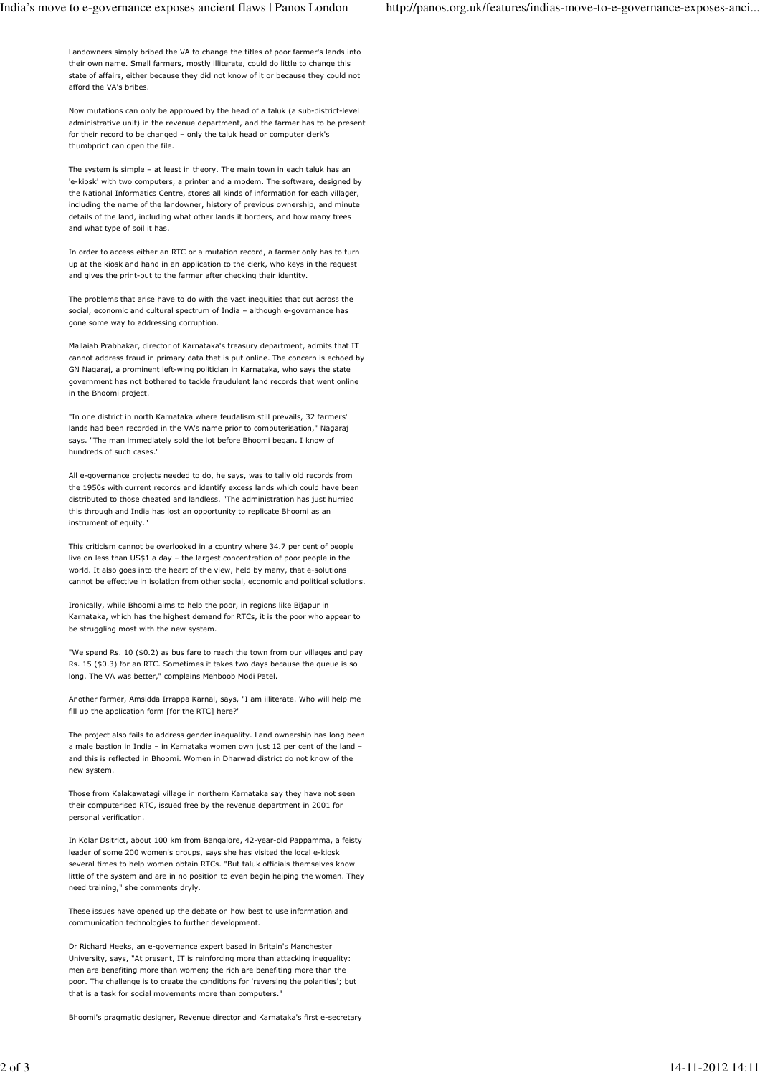Landowners simply bribed the VA to change the titles of poor farmer's lands into their own name. Small farmers, mostly illiterate, could do little to change this state of affairs, either because they did not know of it or because they could not afford the VA's bribes.

Now mutations can only be approved by the head of a taluk (a sub-district-level administrative unit) in the revenue department, and the farmer has to be present for their record to be changed – only the taluk head or computer clerk's thumbprint can open the file.

The system is simple – at least in theory. The main town in each taluk has an 'e-kiosk' with two computers, a printer and a modem. The software, designed by the National Informatics Centre, stores all kinds of information for each villager, including the name of the landowner, history of previous ownership, and minute details of the land, including what other lands it borders, and how many trees and what type of soil it has.

In order to access either an RTC or a mutation record, a farmer only has to turn up at the kiosk and hand in an application to the clerk, who keys in the request and gives the print-out to the farmer after checking their identity.

The problems that arise have to do with the vast inequities that cut across the social, economic and cultural spectrum of India – although e-governance has gone some way to addressing corruption.

Mallaiah Prabhakar, director of Karnataka's treasury department, admits that IT cannot address fraud in primary data that is put online. The concern is echoed by GN Nagaraj, a prominent left-wing politician in Karnataka, who says the state government has not bothered to tackle fraudulent land records that went online in the Bhoomi project.

"In one district in north Karnataka where feudalism still prevails, 32 farmers' lands had been recorded in the VA's name prior to computerisation," Nagaraj says. "The man immediately sold the lot before Bhoomi began. I know of hundreds of such cases."

All e-governance projects needed to do, he says, was to tally old records from the 1950s with current records and identify excess lands which could have been distributed to those cheated and landless. "The administration has just hurried this through and India has lost an opportunity to replicate Bhoomi as an instrument of equity."

This criticism cannot be overlooked in a country where 34.7 per cent of people live on less than US\$1 a day – the largest concentration of poor people in the world. It also goes into the heart of the view, held by many, that e-solutions cannot be effective in isolation from other social, economic and political solutions.

Ironically, while Bhoomi aims to help the poor, in regions like Bijapur in Karnataka, which has the highest demand for RTCs, it is the poor who appear to be struggling most with the new system.

"We spend Rs. 10 (\$0.2) as bus fare to reach the town from our villages and pay Rs. 15 (\$0.3) for an RTC. Sometimes it takes two days because the queue is so long. The VA was better," complains Mehboob Modi Patel.

Another farmer, Amsidda Irrappa Karnal, says, "I am illiterate. Who will help me fill up the application form [for the RTC] here?"

The project also fails to address gender inequality. Land ownership has long been a male bastion in India – in Karnataka women own just 12 per cent of the land – and this is reflected in Bhoomi. Women in Dharwad district do not know of the new system.

Those from Kalakawatagi village in northern Karnataka say they have not seen their computerised RTC, issued free by the revenue department in 2001 for personal verification.

In Kolar Dsitrict, about 100 km from Bangalore, 42-year-old Pappamma, a feisty leader of some 200 women's groups, says she has visited the local e-kiosk several times to help women obtain RTCs. "But taluk officials themselves know little of the system and are in no position to even begin helping the women. They need training," she comments dryly.

These issues have opened up the debate on how best to use information and communication technologies to further development.

Dr Richard Heeks, an e-governance expert based in Britain's Manchester University, says, "At present, IT is reinforcing more than attacking inequality: men are benefiting more than women; the rich are benefiting more than the poor. The challenge is to create the conditions for 'reversing the polarities'; but that is a task for social movements more than computers."

Bhoomi's pragmatic designer, Revenue director and Karnataka's first e-secretary